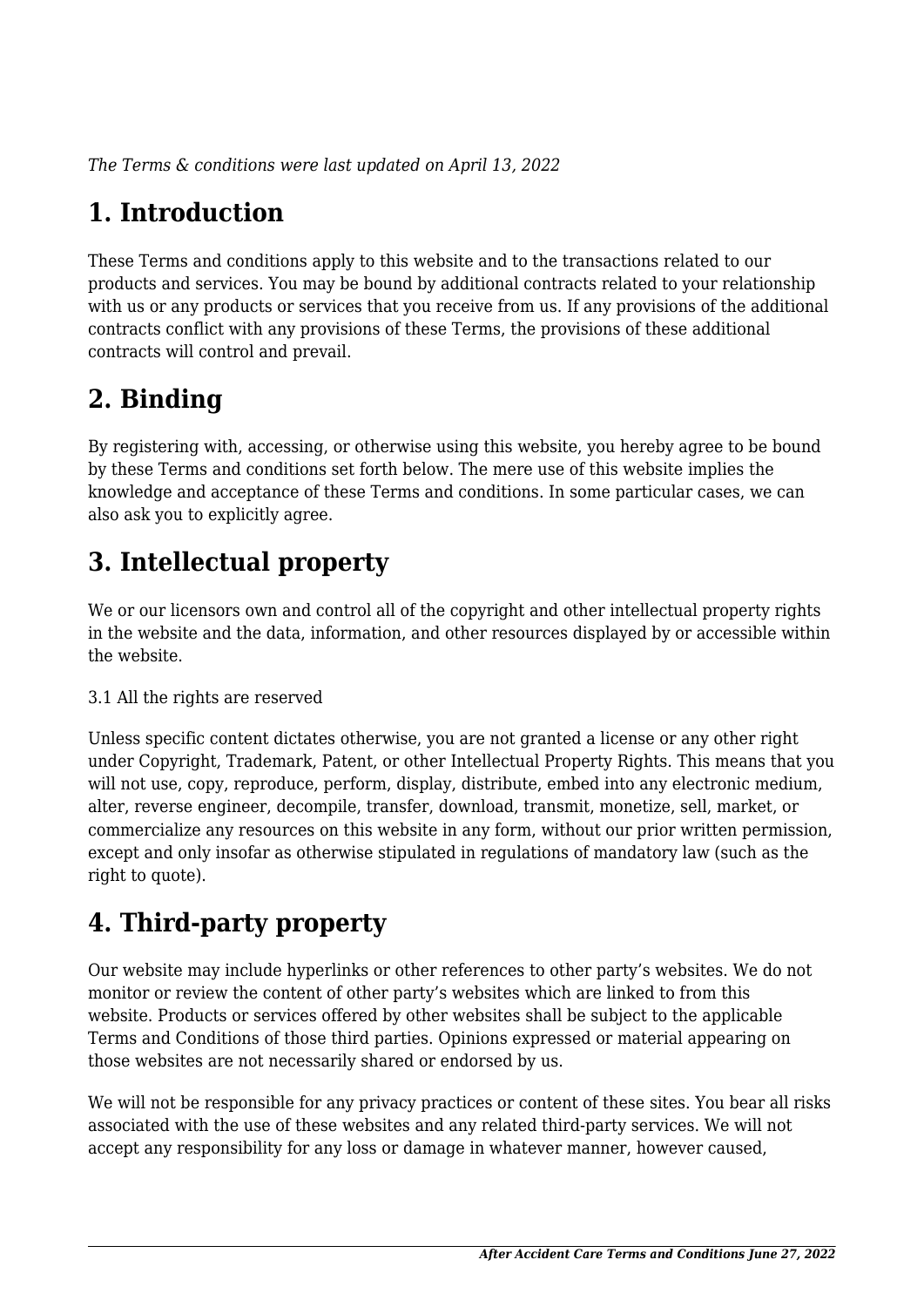*The Terms & conditions were last updated on April 13, 2022*

# **1. Introduction**

These Terms and conditions apply to this website and to the transactions related to our products and services. You may be bound by additional contracts related to your relationship with us or any products or services that you receive from us. If any provisions of the additional contracts conflict with any provisions of these Terms, the provisions of these additional contracts will control and prevail.

### **2. Binding**

By registering with, accessing, or otherwise using this website, you hereby agree to be bound by these Terms and conditions set forth below. The mere use of this website implies the knowledge and acceptance of these Terms and conditions. In some particular cases, we can also ask you to explicitly agree.

# **3. Intellectual property**

We or our licensors own and control all of the copyright and other intellectual property rights in the website and the data, information, and other resources displayed by or accessible within the website.

#### 3.1 All the rights are reserved

Unless specific content dictates otherwise, you are not granted a license or any other right under Copyright, Trademark, Patent, or other Intellectual Property Rights. This means that you will not use, copy, reproduce, perform, display, distribute, embed into any electronic medium, alter, reverse engineer, decompile, transfer, download, transmit, monetize, sell, market, or commercialize any resources on this website in any form, without our prior written permission, except and only insofar as otherwise stipulated in regulations of mandatory law (such as the right to quote).

# **4. Third-party property**

Our website may include hyperlinks or other references to other party's websites. We do not monitor or review the content of other party's websites which are linked to from this website. Products or services offered by other websites shall be subject to the applicable Terms and Conditions of those third parties. Opinions expressed or material appearing on those websites are not necessarily shared or endorsed by us.

We will not be responsible for any privacy practices or content of these sites. You bear all risks associated with the use of these websites and any related third-party services. We will not accept any responsibility for any loss or damage in whatever manner, however caused,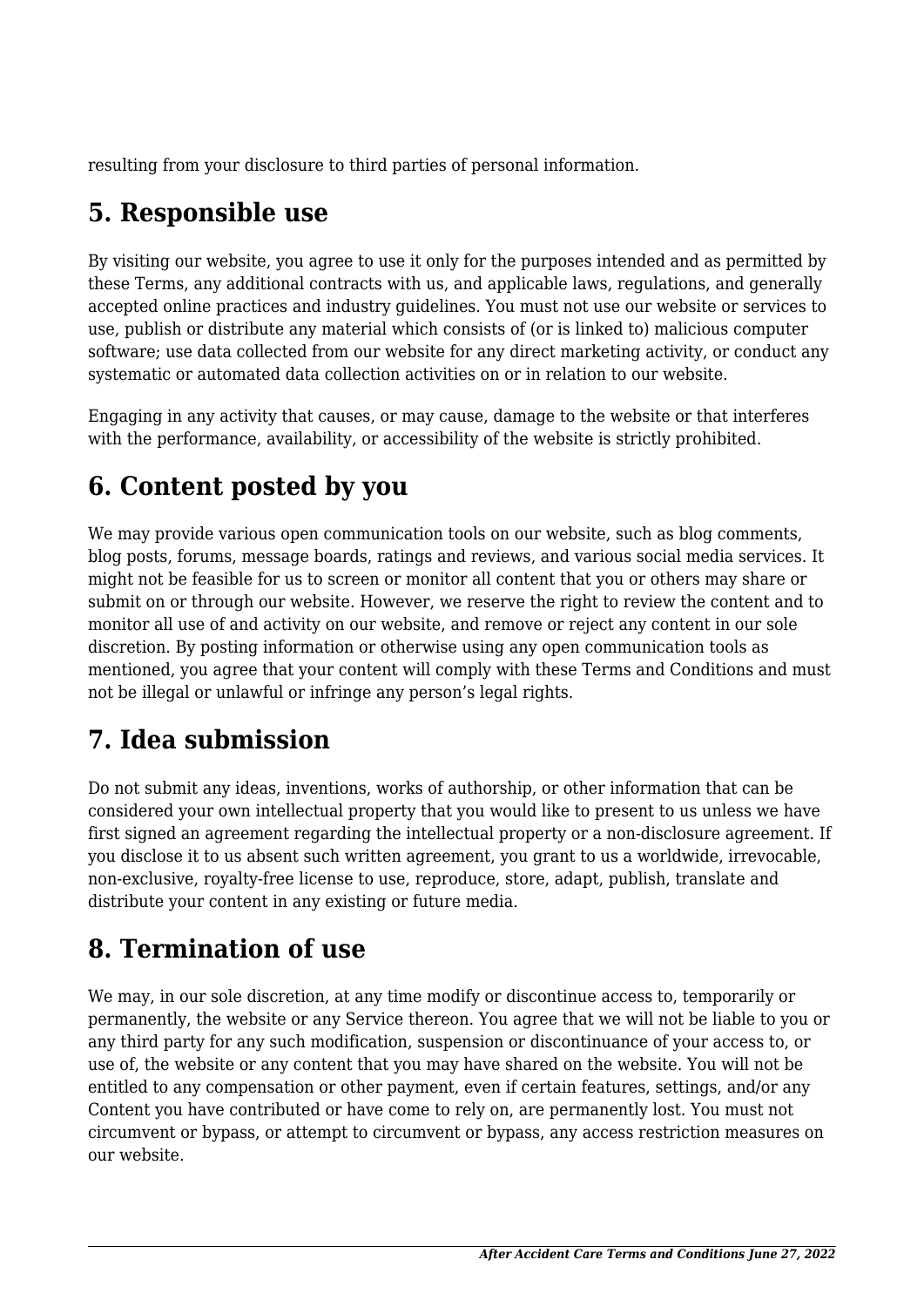resulting from your disclosure to third parties of personal information.

#### **5. Responsible use**

By visiting our website, you agree to use it only for the purposes intended and as permitted by these Terms, any additional contracts with us, and applicable laws, regulations, and generally accepted online practices and industry guidelines. You must not use our website or services to use, publish or distribute any material which consists of (or is linked to) malicious computer software; use data collected from our website for any direct marketing activity, or conduct any systematic or automated data collection activities on or in relation to our website.

Engaging in any activity that causes, or may cause, damage to the website or that interferes with the performance, availability, or accessibility of the website is strictly prohibited.

# **6. Content posted by you**

We may provide various open communication tools on our website, such as blog comments, blog posts, forums, message boards, ratings and reviews, and various social media services. It might not be feasible for us to screen or monitor all content that you or others may share or submit on or through our website. However, we reserve the right to review the content and to monitor all use of and activity on our website, and remove or reject any content in our sole discretion. By posting information or otherwise using any open communication tools as mentioned, you agree that your content will comply with these Terms and Conditions and must not be illegal or unlawful or infringe any person's legal rights.

# **7. Idea submission**

Do not submit any ideas, inventions, works of authorship, or other information that can be considered your own intellectual property that you would like to present to us unless we have first signed an agreement regarding the intellectual property or a non-disclosure agreement. If you disclose it to us absent such written agreement, you grant to us a worldwide, irrevocable, non-exclusive, royalty-free license to use, reproduce, store, adapt, publish, translate and distribute your content in any existing or future media.

#### **8. Termination of use**

We may, in our sole discretion, at any time modify or discontinue access to, temporarily or permanently, the website or any Service thereon. You agree that we will not be liable to you or any third party for any such modification, suspension or discontinuance of your access to, or use of, the website or any content that you may have shared on the website. You will not be entitled to any compensation or other payment, even if certain features, settings, and/or any Content you have contributed or have come to rely on, are permanently lost. You must not circumvent or bypass, or attempt to circumvent or bypass, any access restriction measures on our website.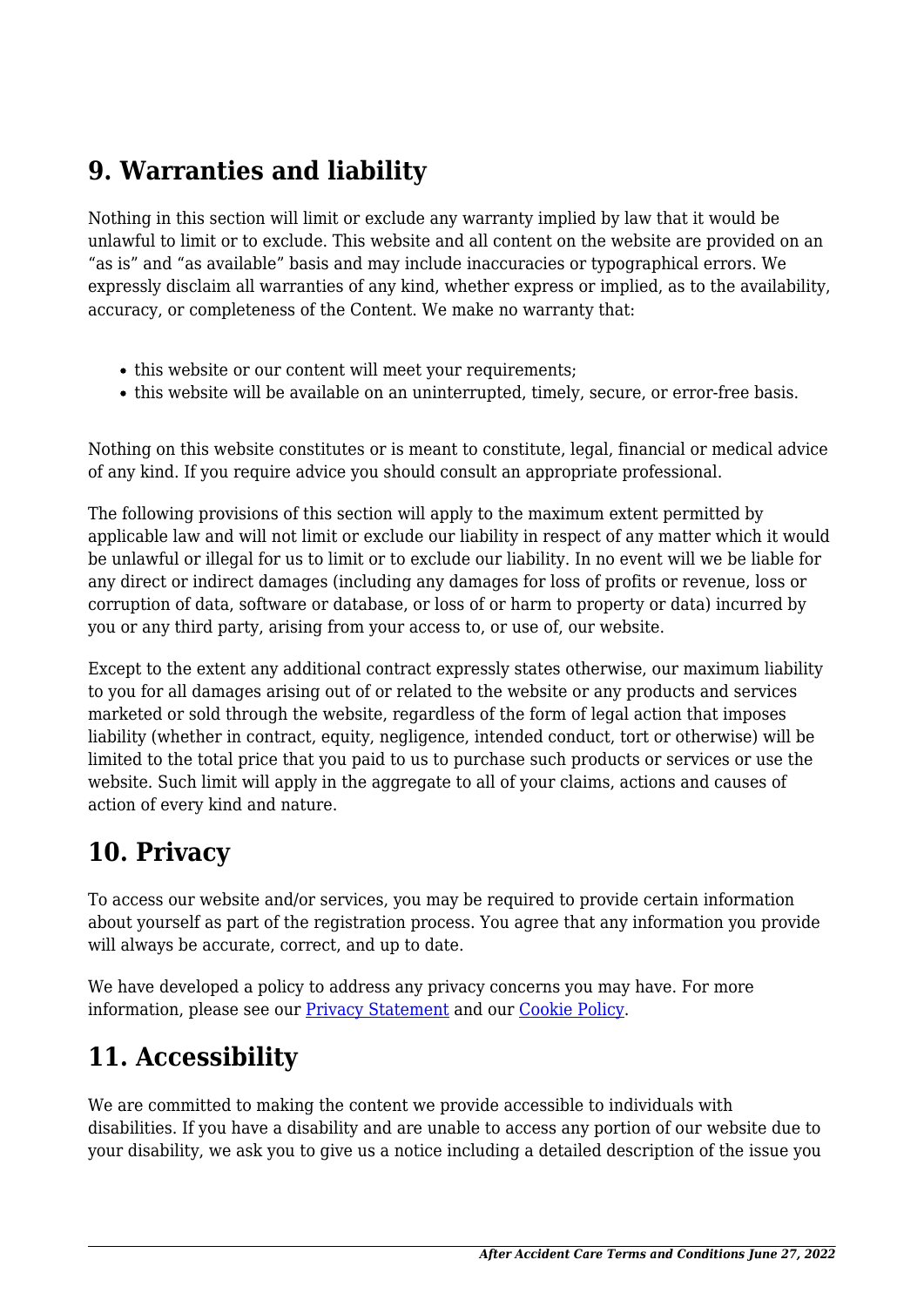#### **9. Warranties and liability**

Nothing in this section will limit or exclude any warranty implied by law that it would be unlawful to limit or to exclude. This website and all content on the website are provided on an "as is" and "as available" basis and may include inaccuracies or typographical errors. We expressly disclaim all warranties of any kind, whether express or implied, as to the availability, accuracy, or completeness of the Content. We make no warranty that:

- this website or our content will meet your requirements;
- this website will be available on an uninterrupted, timely, secure, or error-free basis.

Nothing on this website constitutes or is meant to constitute, legal, financial or medical advice of any kind. If you require advice you should consult an appropriate professional.

The following provisions of this section will apply to the maximum extent permitted by applicable law and will not limit or exclude our liability in respect of any matter which it would be unlawful or illegal for us to limit or to exclude our liability. In no event will we be liable for any direct or indirect damages (including any damages for loss of profits or revenue, loss or corruption of data, software or database, or loss of or harm to property or data) incurred by you or any third party, arising from your access to, or use of, our website.

Except to the extent any additional contract expressly states otherwise, our maximum liability to you for all damages arising out of or related to the website or any products and services marketed or sold through the website, regardless of the form of legal action that imposes liability (whether in contract, equity, negligence, intended conduct, tort or otherwise) will be limited to the total price that you paid to us to purchase such products or services or use the website. Such limit will apply in the aggregate to all of your claims, actions and causes of action of every kind and nature.

#### **10. Privacy**

To access our website and/or services, you may be required to provide certain information about yourself as part of the registration process. You agree that any information you provide will always be accurate, correct, and up to date.

We have developed a policy to address any privacy concerns you may have. For more information, please see our **Privacy Statement** and our Cookie Policy.

# **11. Accessibility**

We are committed to making the content we provide accessible to individuals with disabilities. If you have a disability and are unable to access any portion of our website due to your disability, we ask you to give us a notice including a detailed description of the issue you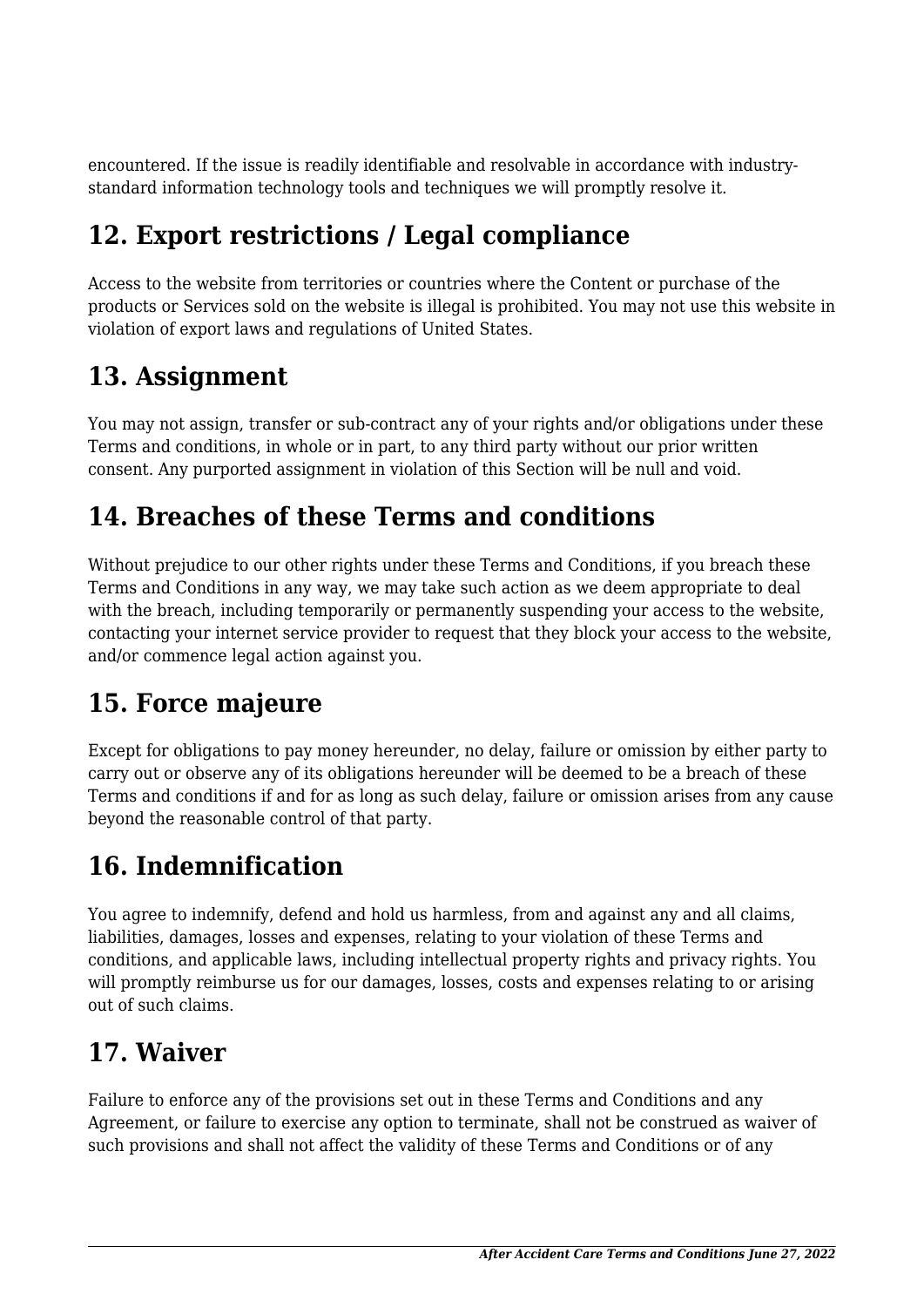encountered. If the issue is readily identifiable and resolvable in accordance with industrystandard information technology tools and techniques we will promptly resolve it.

### **12. Export restrictions / Legal compliance**

Access to the website from territories or countries where the Content or purchase of the products or Services sold on the website is illegal is prohibited. You may not use this website in violation of export laws and regulations of United States.

### **13. Assignment**

You may not assign, transfer or sub-contract any of your rights and/or obligations under these Terms and conditions, in whole or in part, to any third party without our prior written consent. Any purported assignment in violation of this Section will be null and void.

#### **14. Breaches of these Terms and conditions**

Without prejudice to our other rights under these Terms and Conditions, if you breach these Terms and Conditions in any way, we may take such action as we deem appropriate to deal with the breach, including temporarily or permanently suspending your access to the website, contacting your internet service provider to request that they block your access to the website, and/or commence legal action against you.

# **15. Force majeure**

Except for obligations to pay money hereunder, no delay, failure or omission by either party to carry out or observe any of its obligations hereunder will be deemed to be a breach of these Terms and conditions if and for as long as such delay, failure or omission arises from any cause beyond the reasonable control of that party.

# **16. Indemnification**

You agree to indemnify, defend and hold us harmless, from and against any and all claims, liabilities, damages, losses and expenses, relating to your violation of these Terms and conditions, and applicable laws, including intellectual property rights and privacy rights. You will promptly reimburse us for our damages, losses, costs and expenses relating to or arising out of such claims.

#### **17. Waiver**

Failure to enforce any of the provisions set out in these Terms and Conditions and any Agreement, or failure to exercise any option to terminate, shall not be construed as waiver of such provisions and shall not affect the validity of these Terms and Conditions or of any